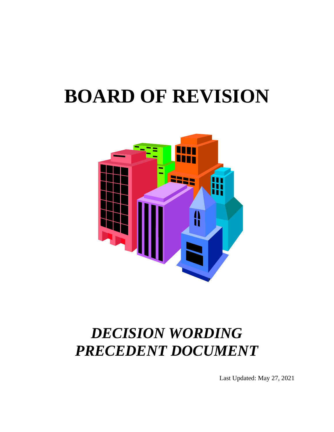# **BOARD OF REVISION**



## *DECISION WORDING PRECEDENT DOCUMENT*

Last Updated: May 27, 2021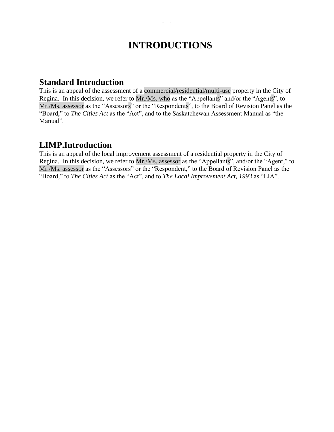## **INTRODUCTIONS**

#### **Standard Introduction**

This is an appeal of the assessment of a commercial/residential/multi-use property in the City of Regina. In this decision, we refer to Mr./Ms. who as the "Appellants" and/or the "Agents", to Mr./Ms. assessor as the "Assessors" or the "Respondents", to the Board of Revision Panel as the "Board," to *The Cities Act* as the "Act", and to the Saskatchewan Assessment Manual as "the Manual".

#### **LIMP.Introduction**

This is an appeal of the local improvement assessment of a residential property in the City of Regina. In this decision, we refer to Mr./Ms. assessor as the "Appellants", and/or the "Agent," to Mr./Ms. assessor as the "Assessors" or the "Respondent," to the Board of Revision Panel as the "Board," to *The Cities Act* as the "Act", and to *The Local Improvement Act, 1993* as "LIA".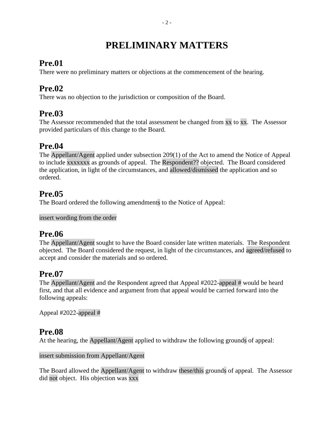## **PRELIMINARY MATTERS**

#### **Pre.01**

There were no preliminary matters or objections at the commencement of the hearing.

## **Pre.02**

There was no objection to the jurisdiction or composition of the Board.

## **Pre.03**

The Assessor recommended that the total assessment be changed from xx to xx. The Assessor provided particulars of this change to the Board.

## **Pre.04**

The Appellant/Agent applied under subsection 209(1) of the Act to amend the Notice of Appeal to include xxxxxxx as grounds of appeal. The Respondent?? objected. The Board considered the application, in light of the circumstances, and allowed/dismissed the application and so ordered.

## **Pre.05**

The Board ordered the following amendments to the Notice of Appeal:

insert wording from the order

#### **Pre.06**

The Appellant/Agent sought to have the Board consider late written materials. The Respondent objected. The Board considered the request, in light of the circumstances, and agreed/refused to accept and consider the materials and so ordered.

## **Pre.07**

The Appellant/Agent and the Respondent agreed that Appeal #2022-appeal # would be heard first, and that all evidence and argument from that appeal would be carried forward into the following appeals:

Appeal #2022-appeal #

#### **Pre.08**

At the hearing, the Appellant/Agent applied to withdraw the following grounds of appeal:

insert submission from Appellant/Agent

The Board allowed the Appellant/Agent to withdraw these/this grounds of appeal. The Assessor did not object. His objection was xxx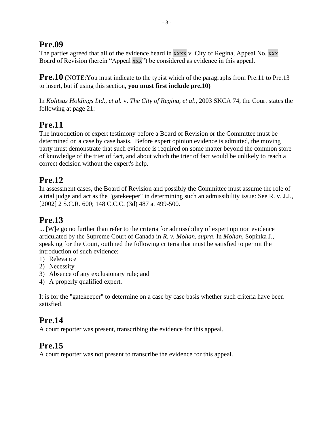#### **Pre.09**

The parties agreed that all of the evidence heard in xxxx v. City of Regina, Appeal No. xxx, Board of Revision (herein "Appeal xxx") be considered as evidence in this appeal.

**Pre.10** (NOTE: You must indicate to the typist which of the paragraphs from Pre.11 to Pre.13 to insert, but if using this section, **you must first include pre.10)**

In *Kolitsas Holdings Ltd., et al.* v. *The City of Regina, et al*., 2003 SKCA 74, the Court states the following at page 21:

## **Pre.11**

The introduction of expert testimony before a Board of Revision or the Committee must be determined on a case by case basis. Before expert opinion evidence is admitted, the moving party must demonstrate that such evidence is required on some matter beyond the common store of knowledge of the trier of fact, and about which the trier of fact would be unlikely to reach a correct decision without the expert's help.

## **Pre.12**

In assessment cases, the Board of Revision and possibly the Committee must assume the role of a trial judge and act as the "gatekeeper" in determining such an admissibility issue: See R. v. J.J., [2002] 2 S.C.R. 600; 148 C.C.C. (3d) 487 at 499-500.

## **Pre.13**

... [W]e go no further than refer to the criteria for admissibility of expert opinion evidence articulated by the Supreme Court of Canada in *R. v. Mohan, supra*. In *Mohan*, Sopinka J., speaking for the Court, outlined the following criteria that must be satisfied to permit the introduction of such evidence:

- 1) Relevance
- 2) Necessity
- 3) Absence of any exclusionary rule; and
- 4) A properly qualified expert.

It is for the "gatekeeper" to determine on a case by case basis whether such criteria have been satisfied.

## **Pre.14**

A court reporter was present, transcribing the evidence for this appeal.

## **Pre.15**

A court reporter was not present to transcribe the evidence for this appeal.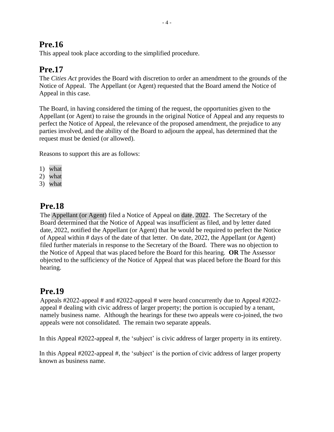## **Pre.16**

This appeal took place according to the simplified procedure.

## **Pre.17**

The *Cities Act* provides the Board with discretion to order an amendment to the grounds of the Notice of Appeal. The Appellant (or Agent) requested that the Board amend the Notice of Appeal in this case.

The Board, in having considered the timing of the request, the opportunities given to the Appellant (or Agent) to raise the grounds in the original Notice of Appeal and any requests to perfect the Notice of Appeal, the relevance of the proposed amendment, the prejudice to any parties involved, and the ability of the Board to adjourn the appeal, has determined that the request must be denied (or allowed).

Reasons to support this are as follows:

- 1) what
- 2) what
- 3) what

## **Pre.18**

The Appellant (or Agent) filed a Notice of Appeal on date, 2022. The Secretary of the Board determined that the Notice of Appeal was insufficient as filed, and by letter dated date, 2022, notified the Appellant (or Agent) that he would be required to perfect the Notice of Appeal within # days of the date of that letter. On date, 2022, the Appellant (or Agent) filed further materials in response to the Secretary of the Board. There was no objection to the Notice of Appeal that was placed before the Board for this hearing. **OR** The Assessor objected to the sufficiency of the Notice of Appeal that was placed before the Board for this hearing.

## **Pre.19**

Appeals #2022-appeal # and #2022-appeal # were heard concurrently due to Appeal #2022 appeal # dealing with civic address of larger property; the portion is occupied by a tenant, namely business name. Although the hearings for these two appeals were co-joined, the two appeals were not consolidated. The remain two separate appeals.

In this Appeal #2022-appeal #, the 'subject' is civic address of larger property in its entirety.

In this Appeal #2022-appeal #, the 'subject' is the portion of civic address of larger property known as business name.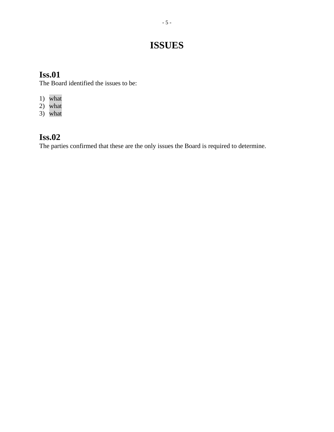## **ISSUES**

## **Iss.01**

The Board identified the issues to be:

- 1) what
- 2) what
- 3) what

## **Iss.02**

The parties confirmed that these are the only issues the Board is required to determine.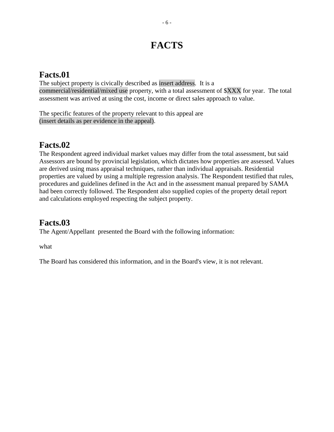## **FACTS**

## **Facts.01**

The subject property is civically described as insert address. It is a commercial/residential/mixed use property, with a total assessment of \$XXX for year. The total assessment was arrived at using the cost, income or direct sales approach to value.

The specific features of the property relevant to this appeal are (insert details as per evidence in the appeal).

#### **Facts.02**

The Respondent agreed individual market values may differ from the total assessment, but said Assessors are bound by provincial legislation, which dictates how properties are assessed. Values are derived using mass appraisal techniques, rather than individual appraisals. Residential properties are valued by using a multiple regression analysis. The Respondent testified that rules, procedures and guidelines defined in the Act and in the assessment manual prepared by SAMA had been correctly followed. The Respondent also supplied copies of the property detail report and calculations employed respecting the subject property.

## **Facts.03**

The Agent/Appellant presented the Board with the following information:

what

The Board has considered this information, and in the Board's view, it is not relevant.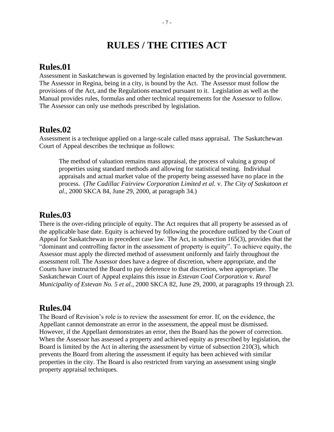## **RULES / THE CITIES ACT**

#### **Rules.01**

Assessment in Saskatchewan is governed by legislation enacted by the provincial government. The Assessor in Regina, being in a city, is bound by the Act. The Assessor must follow the provisions of the Act, and the Regulations enacted pursuant to it. Legislation as well as the Manual provides rules, formulas and other technical requirements for the Assessor to follow. The Assessor can only use methods prescribed by legislation.

#### **Rules.02**

Assessment is a technique applied on a large-scale called mass appraisal. The Saskatchewan Court of Appeal describes the technique as follows:

The method of valuation remains mass appraisal, the process of valuing a group of properties using standard methods and allowing for statistical testing. Individual appraisals and actual market value of the property being assessed have no place in the process. (*The Cadillac Fairview Corporation Limited et al.* v. *The City of Saskatoon et al.*, 2000 SKCA 84, June 29, 2000, at paragraph 34.)

#### **Rules.03**

There is the over-riding principle of equity. The Act requires that all property be assessed as of the applicable base date. Equity is achieved by following the procedure outlined by the Court of Appeal for Saskatchewan in precedent case law. The Act, in subsection 165(3), provides that the "dominant and controlling factor in the assessment of property is equity". To achieve equity, the Assessor must apply the directed method of assessment uniformly and fairly throughout the assessment roll. The Assessor does have a degree of discretion, where appropriate, and the Courts have instructed the Board to pay deference to that discretion, when appropriate. The Saskatchewan Court of Appeal explains this issue in *Estevan Coal Corporation* v. *Rural Municipality of Estevan No. 5 et al.*, 2000 SKCA 82, June 29, 2000, at paragraphs 19 through 23.

#### **Rules.04**

The Board of Revision's role is to review the assessment for error. If, on the evidence, the Appellant cannot demonstrate an error in the assessment, the appeal must be dismissed. However, if the Appellant demonstrates an error, then the Board has the power of correction. When the Assessor has assessed a property and achieved equity as prescribed by legislation, the Board is limited by the Act in altering the assessment by virtue of subsection 210(3), which prevents the Board from altering the assessment if equity has been achieved with similar properties in the city. The Board is also restricted from varying an assessment using single property appraisal techniques.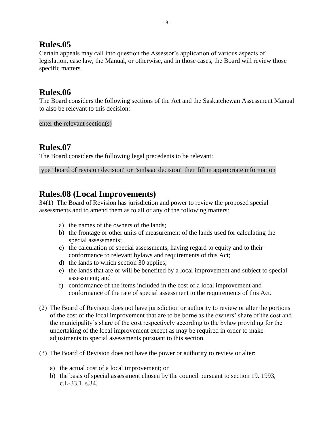#### **Rules.05**

Certain appeals may call into question the Assessor's application of various aspects of legislation, case law, the Manual, or otherwise, and in those cases, the Board will review those specific matters.

#### **Rules.06**

The Board considers the following sections of the Act and the Saskatchewan Assessment Manual to also be relevant to this decision:

enter the relevant section(s)

#### **Rules.07**

The Board considers the following legal precedents to be relevant:

type "board of revision decision" or "smbaac decision" then fill in appropriate information

#### **Rules.08 (Local Improvements)**

34(1) The Board of Revision has jurisdiction and power to review the proposed special assessments and to amend them as to all or any of the following matters:

- a) the names of the owners of the lands;
- b) the frontage or other units of measurement of the lands used for calculating the special assessments;
- c) the calculation of special assessments, having regard to equity and to their conformance to relevant bylaws and requirements of this Act;
- d) the lands to which section 30 applies;
- e) the lands that are or will be benefited by a local improvement and subject to special assessment; and
- f) conformance of the items included in the cost of a local improvement and conformance of the rate of special assessment to the requirements of this Act.
- (2) The Board of Revision does not have jurisdiction or authority to review or alter the portions of the cost of the local improvement that are to be borne as the owners' share of the cost and the municipality's share of the cost respectively according to the bylaw providing for the undertaking of the local improvement except as may be required in order to make adjustments to special assessments pursuant to this section.
- (3) The Board of Revision does not have the power or authority to review or alter:
	- a) the actual cost of a local improvement; or
	- b) the basis of special assessment chosen by the council pursuant to section 19. 1993, c.L-33.1, s.34.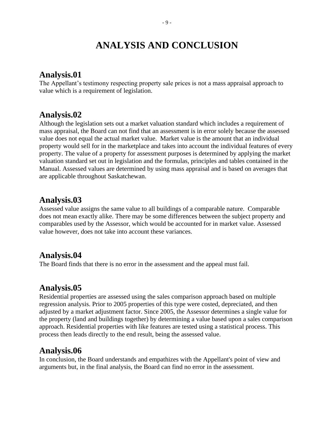## **ANALYSIS AND CONCLUSION**

#### **Analysis.01**

The Appellant's testimony respecting property sale prices is not a mass appraisal approach to value which is a requirement of legislation.

#### **Analysis.02**

Although the legislation sets out a market valuation standard which includes a requirement of mass appraisal, the Board can not find that an assessment is in error solely because the assessed value does not equal the actual market value. Market value is the amount that an individual property would sell for in the marketplace and takes into account the individual features of every property. The value of a property for assessment purposes is determined by applying the market valuation standard set out in legislation and the formulas, principles and tables contained in the Manual. Assessed values are determined by using mass appraisal and is based on averages that are applicable throughout Saskatchewan.

#### **Analysis.03**

Assessed value assigns the same value to all buildings of a comparable nature. Comparable does not mean exactly alike. There may be some differences between the subject property and comparables used by the Assessor, which would be accounted for in market value. Assessed value however, does not take into account these variances.

#### **Analysis.04**

The Board finds that there is no error in the assessment and the appeal must fail.

#### **Analysis.05**

Residential properties are assessed using the sales comparison approach based on multiple regression analysis. Prior to 2005 properties of this type were costed, depreciated, and then adjusted by a market adjustment factor. Since 2005, the Assessor determines a single value for the property (land and buildings together) by determining a value based upon a sales comparison approach. Residential properties with like features are tested using a statistical process. This process then leads directly to the end result, being the assessed value.

#### **Analysis.06**

In conclusion, the Board understands and empathizes with the Appellant's point of view and arguments but, in the final analysis, the Board can find no error in the assessment.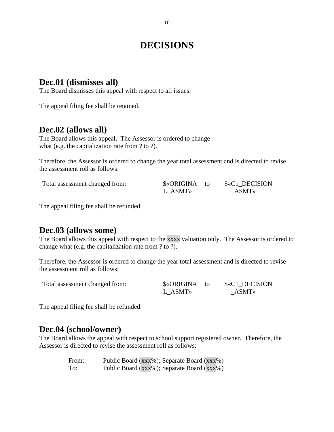## **DECISIONS**

#### **Dec.01 (dismisses all)**

The Board dismisses this appeal with respect to all issues.

The appeal filing fee shall be retained.

#### **Dec.02 (allows all)**

The Board allows this appeal. The Assessor is ordered to change what (e.g. the capitalization rate from ? to ?).

Therefore, the Assessor is ordered to change the year total assessment and is directed to revise the assessment roll as follows:

Total assessment changed from:

| <b>\$«ORIGINA</b> | − f∩ | \$«C1 DECISION |
|-------------------|------|----------------|
| L ASMT»           |      | <b>ASMT</b> »  |

The appeal filing fee shall be refunded.

#### **Dec.03 (allows some)**

The Board allows this appeal with respect to the xxxx valuation only. The Assessor is ordered to change what (e.g. the capitalization rate from ? to ?).

Therefore, the Assessor is ordered to change the year total assessment and is directed to revise the assessment roll as follows:

| Total assessment changed from: | \$«ORIGINA to | \$«C1 DECISION |
|--------------------------------|---------------|----------------|
|                                | L ASMT»       | ASMT»          |

The appeal filing fee shall be refunded.

#### **Dec.04 (school/owner)**

The Board allows the appeal with respect to school support registered owner. Therefore, the Assessor is directed to revise the assessment roll as follows:

| From: | Public Board (xxx%); Separate Board (xxx%) |
|-------|--------------------------------------------|
| To:   | Public Board (xxx%); Separate Board (xxx%) |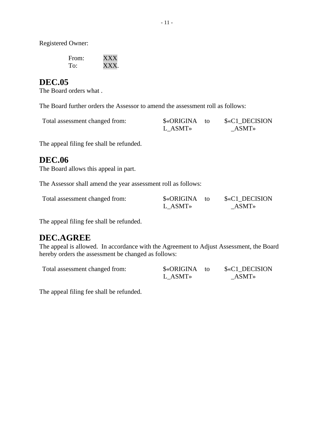Registered Owner:

| From: | <b>XXX</b> |
|-------|------------|
| To:   | XXX.       |

#### **DEC.05**

The Board orders what .

The Board further orders the Assessor to amend the assessment roll as follows:

| Total assessment changed from: | \$«ORIGINA to | \$«C1 DECISION |
|--------------------------------|---------------|----------------|
|                                | L ASMT»       | $ASMT*$        |

The appeal filing fee shall be refunded.

#### **DEC.06**

The Board allows this appeal in part.

The Assessor shall amend the year assessment roll as follows:

| Total assessment changed from: | \$«ORIGINA | \$«C1 DECISION |
|--------------------------------|------------|----------------|
|                                | L ASMT»    | <b>ASMT</b> »  |

The appeal filing fee shall be refunded.

#### **DEC.AGREE**

The appeal is allowed. In accordance with the Agreement to Adjust Assessment, the Board hereby orders the assessment be changed as follows:

| Total assessment changed from: | \$«ORIGINA to | \$«C1 DECISION |
|--------------------------------|---------------|----------------|
|                                | L ASMT»       | $ASMT*$        |

The appeal filing fee shall be refunded.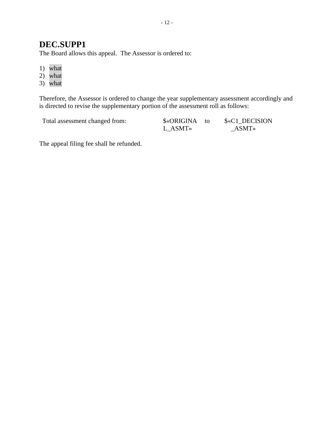#### **DEC.SUPP1**

The Board allows this appeal. The Assessor is ordered to:

- 1) what
- 2) what
- 3) what

Therefore, the Assessor is ordered to change the year supplementary assessment accordingly and is directed to revise the supplementary portion of the assessment roll as follows:

Total assessment changed from:

| <b>\$«ORIGINA</b> | - to | $\&C1$ |
|-------------------|------|--------|
| L ASMT»           |      | A      |

**DECISION**  $SMT$ 

The appeal filing fee shall be refunded.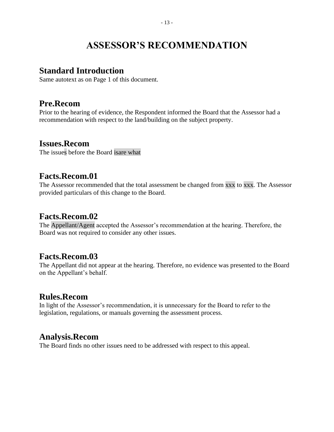## **ASSESSOR'S RECOMMENDATION**

#### **Standard Introduction**

Same autotext as on Page 1 of this document.

#### **Pre.Recom**

Prior to the hearing of evidence, the Respondent informed the Board that the Assessor had a recommendation with respect to the land/building on the subject property.

#### **Issues.Recom**

The issues before the Board isare what

#### **Facts.Recom.01**

The Assessor recommended that the total assessment be changed from xxx to xxx. The Assessor provided particulars of this change to the Board.

#### **Facts.Recom.02**

The Appellant/Agent accepted the Assessor's recommendation at the hearing. Therefore, the Board was not required to consider any other issues.

#### **Facts.Recom.03**

The Appellant did not appear at the hearing. Therefore, no evidence was presented to the Board on the Appellant's behalf.

#### **Rules.Recom**

In light of the Assessor's recommendation, it is unnecessary for the Board to refer to the legislation, regulations, or manuals governing the assessment process.

#### **Analysis.Recom**

The Board finds no other issues need to be addressed with respect to this appeal.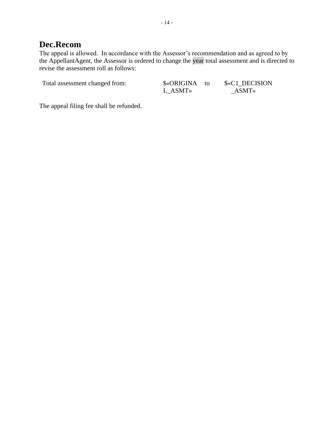#### **Dec.Recom**

The appeal is allowed. In accordance with the Assessor's recommendation and as agreed to by the AppellantAgent, the Assessor is ordered to change the year total assessment and is directed to revise the assessment roll as follows:

Total assessment changed from:  $\frac{\text{S}\cdot\text{ORIGINA}}{\text{S}\cdot\text{ORIGINA}}$  to

L\_ASMT»

 $%c1$ \_DECISION \_ASMT»

The appeal filing fee shall be refunded.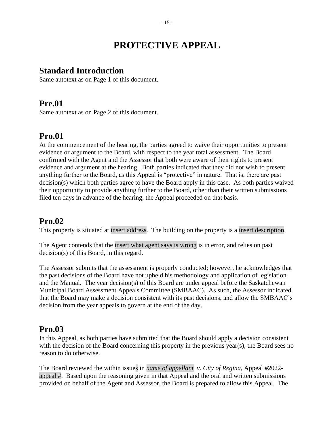## **PROTECTIVE APPEAL**

#### **Standard Introduction**

Same autotext as on Page 1 of this document.

#### **Pre.01**

Same autotext as on Page 2 of this document.

#### **Pro.01**

At the commencement of the hearing, the parties agreed to waive their opportunities to present evidence or argument to the Board, with respect to the year total assessment. The Board confirmed with the Agent and the Assessor that both were aware of their rights to present evidence and argument at the hearing. Both parties indicated that they did not wish to present anything further to the Board, as this Appeal is "protective" in nature. That is, there are past decision(s) which both parties agree to have the Board apply in this case. As both parties waived their opportunity to provide anything further to the Board, other than their written submissions filed ten days in advance of the hearing, the Appeal proceeded on that basis.

#### **Pro.02**

This property is situated at insert address. The building on the property is a insert description.

The Agent contends that the insert what agent says is wrong is in error, and relies on past decision(s) of this Board, in this regard.

The Assessor submits that the assessment is properly conducted; however, he acknowledges that the past decisions of the Board have not upheld his methodology and application of legislation and the Manual. The year decision(s) of this Board are under appeal before the Saskatchewan Municipal Board Assessment Appeals Committee (SMBAAC). As such, the Assessor indicated that the Board may make a decision consistent with its past decisions, and allow the SMBAAC's decision from the year appeals to govern at the end of the day.

#### **Pro.03**

In this Appeal, as both parties have submitted that the Board should apply a decision consistent with the decision of the Board concerning this property in the previous year(s), the Board sees no reason to do otherwise.

The Board reviewed the within issues in *name of appellant v. City of Regina*, Appeal #2022 appeal #. Based upon the reasoning given in that Appeal and the oral and written submissions provided on behalf of the Agent and Assessor, the Board is prepared to allow this Appeal. The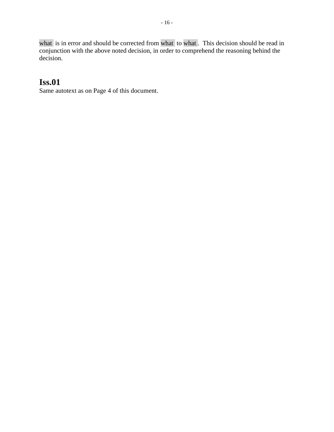what is in error and should be corrected from what to what. This decision should be read in conjunction with the above noted decision, in order to comprehend the reasoning behind the decision.

#### **Iss.01**

Same autotext as on Page 4 of this document.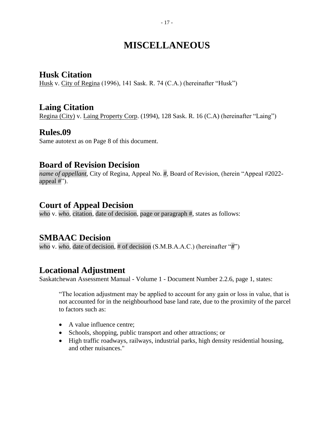## **MISCELLANEOUS**

#### **Husk Citation**

Husk v. City of Regina (1996), 141 Sask. R. 74 (C.A.) (hereinafter "Husk")

#### **Laing Citation**

Regina (City) v. Laing Property Corp. (1994), 128 Sask. R. 16 (C.A) (hereinafter "Laing")

#### **Rules.09**

Same autotext as on Page 8 of this document.

#### **Board of Revision Decision**

*name of appellant*, City of Regina, Appeal No. *#*, Board of Revision, (herein "Appeal #2022 appeal #").

#### **Court of Appeal Decision**

*who* v. *who,* citation, date of decision, page or paragraph #, states as follows:

#### **SMBAAC Decision**

*who* v. *who,* date of decision, # of decision (S.M.B.A.A.C.) (hereinafter "*#*")

#### **Locational Adjustment**

Saskatchewan Assessment Manual - Volume 1 - Document Number 2.2.6, page 1, states:

"The location adjustment may be applied to account for any gain or loss in value, that is not accounted for in the neighbourhood base land rate, due to the proximity of the parcel to factors such as:

- A value influence centre:
- Schools, shopping, public transport and other attractions; or
- High traffic roadways, railways, industrial parks, high density residential housing, and other nuisances."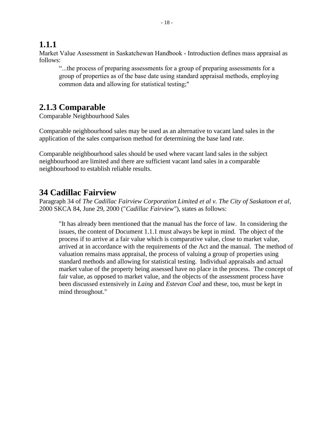#### **1.1.1**

Market Value Assessment in Saskatchewan Handbook - Introduction defines mass appraisal as follows:

"...the process of preparing assessments for a group of preparing assessments for a group of properties as of the base date using standard appraisal methods, employing common data and allowing for statistical testing;"

#### **2.1.3 Comparable**

Comparable Neighbourhood Sales

Comparable neighbourhood sales may be used as an alternative to vacant land sales in the application of the sales comparison method for determining the base land rate.

Comparable neighbourhood sales should be used where vacant land sales in the subject neighbourhood are limited and there are sufficient vacant land sales in a comparable neighbourhood to establish reliable results.

#### **34 Cadillac Fairview**

Paragraph 34 of *The Cadillac Fairview Corporation Limited et al v. The City of Saskatoon et al*, 2000 SKCA 84, June 29, 2000 ("*Cadillac Fairview"*), states as follows:

"It has already been mentioned that the manual has the force of law. In considering the issues, the content of Document 1.1.1 must always be kept in mind. The object of the process if to arrive at a fair value which is comparative value, close to market value, arrived at in accordance with the requirements of the Act and the manual. The method of valuation remains mass appraisal, the process of valuing a group of properties using standard methods and allowing for statistical testing. Individual appraisals and actual market value of the property being assessed have no place in the process. The concept of fair value, as opposed to market value, and the objects of the assessment process have been discussed extensively in *Laing* and *Estevan Coal* and these, too, must be kept in mind throughout."